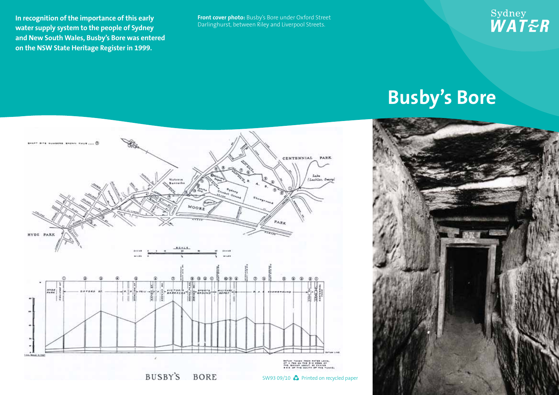**In recognition of the importance of this early water supply system to the people of Sydney and New South Wales, Busby's Bore was entered on the NSW State Heritage Register in 1999.**

**Front cover photo:** Busby's Bore under Oxford Street Darlinghurst, between Riley and Liverpool Streets.

## Sydney<br>*WAT<del>E</del>R*

## **Busby's Bore**